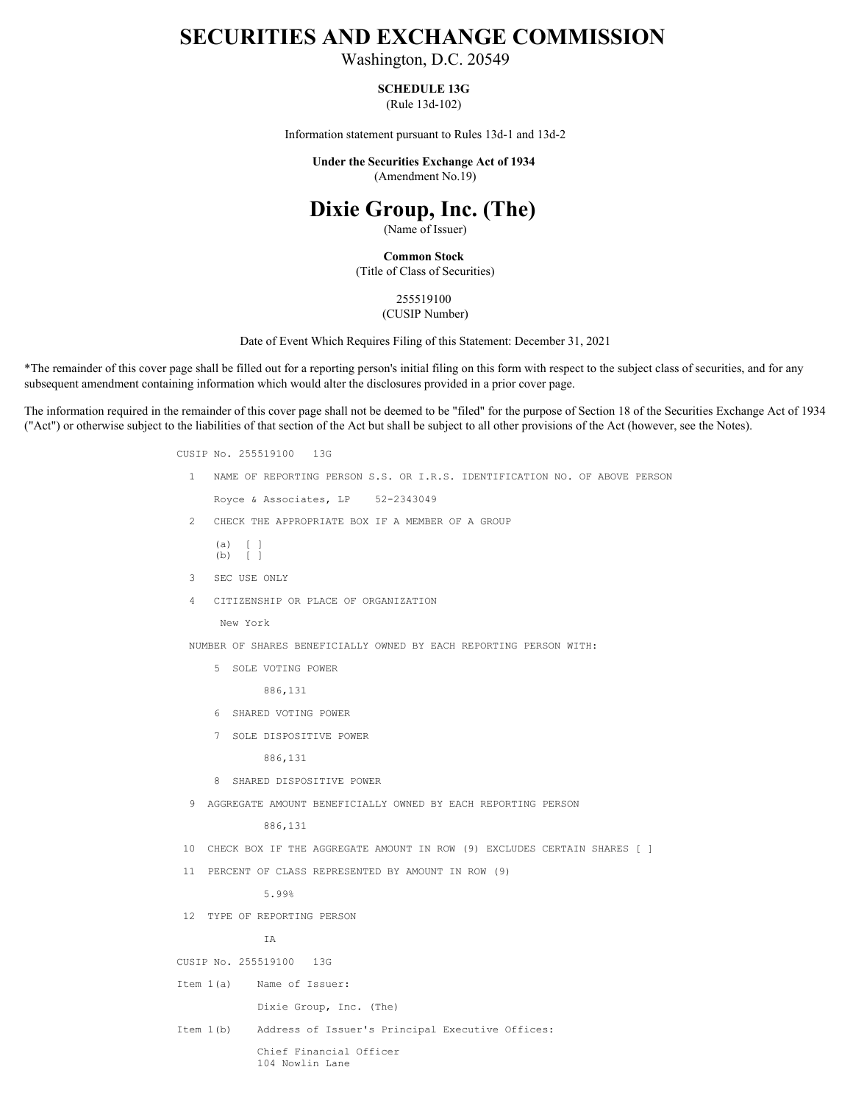## **SECURITIES AND EXCHANGE COMMISSION**

Washington, D.C. 20549

## **SCHEDULE 13G**

(Rule 13d-102)

Information statement pursuant to Rules 13d-1 and 13d-2

**Under the Securities Exchange Act of 1934** (Amendment No.19)

## **Dixie Group, Inc. (The)**

(Name of Issuer)

**Common Stock** (Title of Class of Securities)

> 255519100 (CUSIP Number)

Date of Event Which Requires Filing of this Statement: December 31, 2021

\*The remainder of this cover page shall be filled out for a reporting person's initial filing on this form with respect to the subject class of securities, and for any subsequent amendment containing information which would alter the disclosures provided in a prior cover page.

The information required in the remainder of this cover page shall not be deemed to be "filed" for the purpose of Section 18 of the Securities Exchange Act of 1934 ("Act") or otherwise subject to the liabilities of that section of the Act but shall be subject to all other provisions of the Act (however, see the Notes).

> CUSIP No. 255519100 13G 1 NAME OF REPORTING PERSON S.S. OR I.R.S. IDENTIFICATION NO. OF ABOVE PERSON Royce & Associates, LP 52-2343049 2 CHECK THE APPROPRIATE BOX IF A MEMBER OF A GROUP (a) [ ] (b) [ ] 3 SEC USE ONLY 4 CITIZENSHIP OR PLACE OF ORGANIZATION New York NUMBER OF SHARES BENEFICIALLY OWNED BY EACH REPORTING PERSON WITH: 5 SOLE VOTING POWER 886,131 6 SHARED VOTING POWER 7 SOLE DISPOSITIVE POWER 886,131 8 SHARED DISPOSITIVE POWER 9 AGGREGATE AMOUNT BENEFICIALLY OWNED BY EACH REPORTING PERSON 886,131 10 CHECK BOX IF THE AGGREGATE AMOUNT IN ROW (9) EXCLUDES CERTAIN SHARES [ ] 11 PERCENT OF CLASS REPRESENTED BY AMOUNT IN ROW (9) 5.99% 12 TYPE OF REPORTING PERSON IA CUSIP No. 255519100 13G Item 1(a) Name of Issuer: Dixie Group, Inc. (The) Item 1(b) Address of Issuer's Principal Executive Offices: Chief Financial Officer 104 Nowlin Lane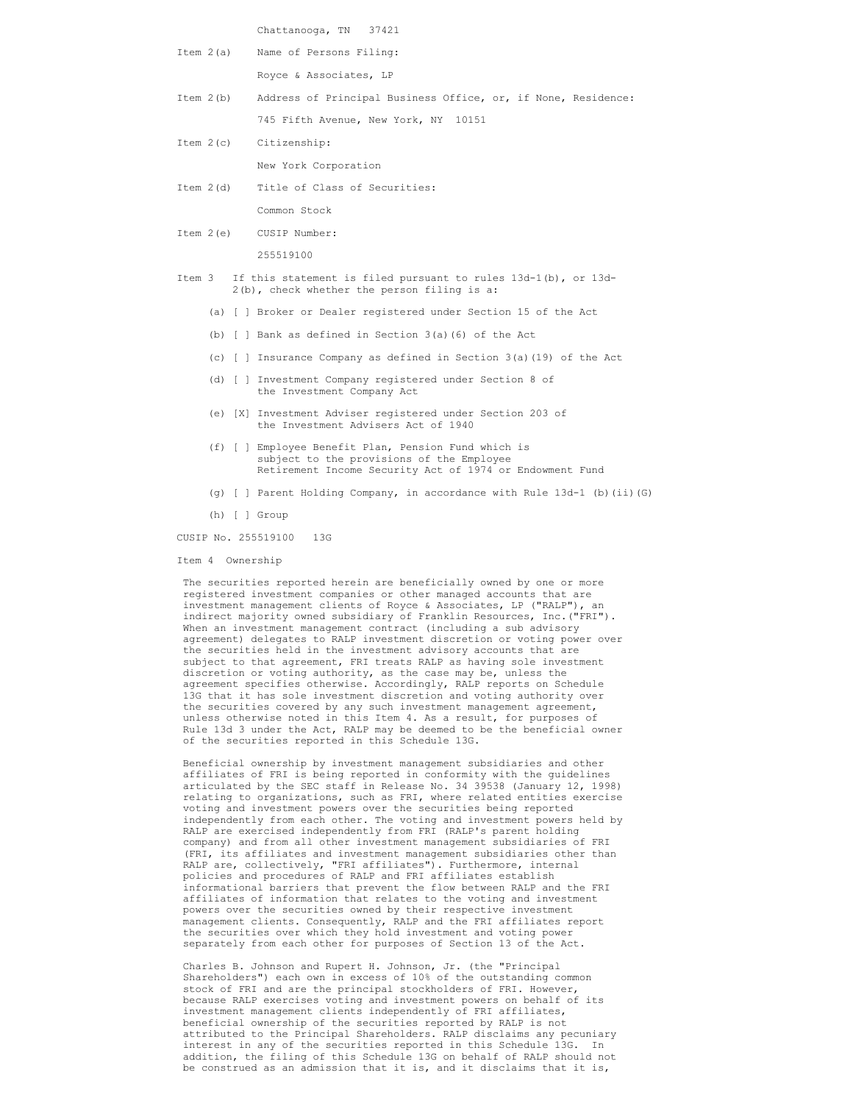Chattanooga, TN 37421

| Item 2(a) Name of Persons Filing: |
|-----------------------------------|
|-----------------------------------|

Royce & Associates, LP

- Item 2(b) Address of Principal Business Office, or, if None, Residence: 745 Fifth Avenue, New York, NY 10151
- Item 2(c) Citizenship: New York Corporation
- Item 2(d) Title of Class of Securities:

Common Stock

Item 2(e) CUSIP Number:

255519100

- Item 3 If this statement is filed pursuant to rules 13d-1(b), or 13d- 2(b), check whether the person filing is a:
	- (a) [ ] Broker or Dealer registered under Section 15 of the Act
	- (b) [ ] Bank as defined in Section 3(a)(6) of the Act
	- (c) [ ] Insurance Company as defined in Section 3(a)(19) of the Act
	- (d) [ ] Investment Company registered under Section 8 of the Investment Company Act
	- (e) [X] Investment Adviser registered under Section 203 of the Investment Advisers Act of 1940
	- (f) [ ] Employee Benefit Plan, Pension Fund which is subject to the provisions of the Employee Retirement Income Security Act of 1974 or Endowment Fund
	- (g) [ ] Parent Holding Company, in accordance with Rule 13d-1 (b)(ii)(G)
	- (h) [ ] Group

CUSIP No. 255519100 13G

Item 4 Ownership

 The securities reported herein are beneficially owned by one or more registered investment companies or other managed accounts that are investment management clients of Royce & Associates, LP ("RALP"), an indirect majority owned subsidiary of Franklin Resources, Inc.("FRI"). When an investment management contract (including a sub advisory agreement) delegates to RALP investment discretion or voting power over the securities held in the investment advisory accounts that are subject to that agreement, FRI treats RALP as having sole investment discretion or voting authority, as the case may be, unless the agreement specifies otherwise. Accordingly, RALP reports on Schedule 13G that it has sole investment discretion and voting authority over the securities covered by any such investment management agreement, unless otherwise noted in this Item 4. As a result, for purposes of Rule 13d 3 under the Act, RALP may be deemed to be the beneficial owner of the securities reported in this Schedule 13G.

 Beneficial ownership by investment management subsidiaries and other affiliates of FRI is being reported in conformity with the guidelines articulated by the SEC staff in Release No. 34 39538 (January 12, 1998) relating to organizations, such as FRI, where related entities exercise voting and investment powers over the securities being reported independently from each other. The voting and investment powers held by RALP are exercised independently from FRI (RALP's parent holding company) and from all other investment management subsidiaries of FRI (FRI, its affiliates and investment management subsidiaries other than RALP are, collectively, "FRI affiliates"). Furthermore, internal policies and procedures of RALP and FRI affiliates establish informational barriers that prevent the flow between RALP and the FRI affiliates of information that relates to the voting and investment powers over the securities owned by their respective investment management clients. Consequently, RALP and the FRI affiliates report the securities over which they hold investment and voting power separately from each other for purposes of Section 13 of the Act.

 Charles B. Johnson and Rupert H. Johnson, Jr. (the "Principal Shareholders") each own in excess of 10% of the outstanding common stock of FRI and are the principal stockholders of FRI. However, because RALP exercises voting and investment powers on behalf of its investment management clients independently of FRI affiliates, beneficial ownership of the securities reported by RALP is not attributed to the Principal Shareholders. RALP disclaims any pecuniary interest in any of the securities reported in this Schedule 13G. In addition, the filing of this Schedule 13G on behalf of RALP should not be construed as an admission that it is, and it disclaims that it is,